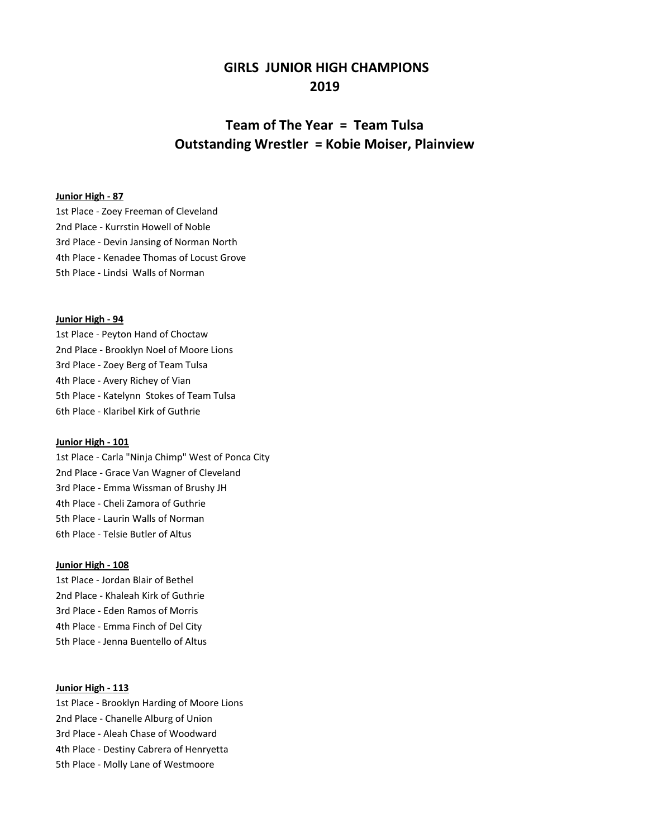## **GIRLS JUNIOR HIGH CHAMPIONS 2019**

# **Team of The Year = Team Tulsa Outstanding Wrestler = Kobie Moiser, Plainview**

### **Junior High - 87**

1st Place - Zoey Freeman of Cleveland 2nd Place - Kurrstin Howell of Noble 3rd Place - Devin Jansing of Norman North 4th Place - Kenadee Thomas of Locust Grove 5th Place - Lindsi Walls of Norman

#### **Junior High - 94**

1st Place - Peyton Hand of Choctaw 2nd Place - Brooklyn Noel of Moore Lions 3rd Place - Zoey Berg of Team Tulsa 4th Place - Avery Richey of Vian 5th Place - Katelynn Stokes of Team Tulsa 6th Place - Klaribel Kirk of Guthrie

## **Junior High - 101**

1st Place - Carla "Ninja Chimp" West of Ponca City 2nd Place - Grace Van Wagner of Cleveland 3rd Place - Emma Wissman of Brushy JH 4th Place - Cheli Zamora of Guthrie 5th Place - Laurin Walls of Norman 6th Place - Telsie Butler of Altus

## **Junior High - 108**

1st Place - Jordan Blair of Bethel 2nd Place - Khaleah Kirk of Guthrie 3rd Place - Eden Ramos of Morris 4th Place - Emma Finch of Del City 5th Place - Jenna Buentello of Altus

## **Junior High - 113**

1st Place - Brooklyn Harding of Moore Lions 2nd Place - Chanelle Alburg of Union 3rd Place - Aleah Chase of Woodward 4th Place - Destiny Cabrera of Henryetta 5th Place - Molly Lane of Westmoore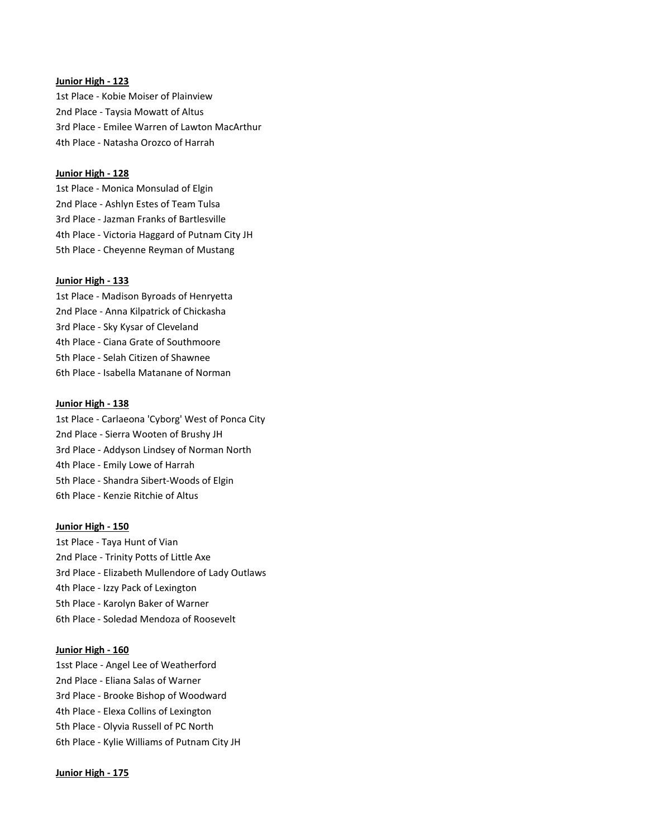## **Junior High - 123**

1st Place - Kobie Moiser of Plainview 2nd Place - Taysia Mowatt of Altus 3rd Place - Emilee Warren of Lawton MacArthur 4th Place - Natasha Orozco of Harrah

## **Junior High - 128**

1st Place - Monica Monsulad of Elgin 2nd Place - Ashlyn Estes of Team Tulsa 3rd Place - Jazman Franks of Bartlesville 4th Place - Victoria Haggard of Putnam City JH 5th Place - Cheyenne Reyman of Mustang

### **Junior High - 133**

1st Place - Madison Byroads of Henryetta 2nd Place - Anna Kilpatrick of Chickasha 3rd Place - Sky Kysar of Cleveland 4th Place - Ciana Grate of Southmoore 5th Place - Selah Citizen of Shawnee 6th Place - Isabella Matanane of Norman

#### **Junior High - 138**

1st Place - Carlaeona 'Cyborg' West of Ponca City 2nd Place - Sierra Wooten of Brushy JH 3rd Place - Addyson Lindsey of Norman North 4th Place - Emily Lowe of Harrah 5th Place - Shandra Sibert-Woods of Elgin 6th Place - Kenzie Ritchie of Altus

### **Junior High - 150**

1st Place - Taya Hunt of Vian 2nd Place - Trinity Potts of Little Axe 3rd Place - Elizabeth Mullendore of Lady Outlaws 4th Place - Izzy Pack of Lexington 5th Place - Karolyn Baker of Warner 6th Place - Soledad Mendoza of Roosevelt

## **Junior High - 160**

1sst Place - Angel Lee of Weatherford 2nd Place - Eliana Salas of Warner 3rd Place - Brooke Bishop of Woodward 4th Place - Elexa Collins of Lexington 5th Place - Olyvia Russell of PC North 6th Place - Kylie Williams of Putnam City JH

#### **Junior High - 175**